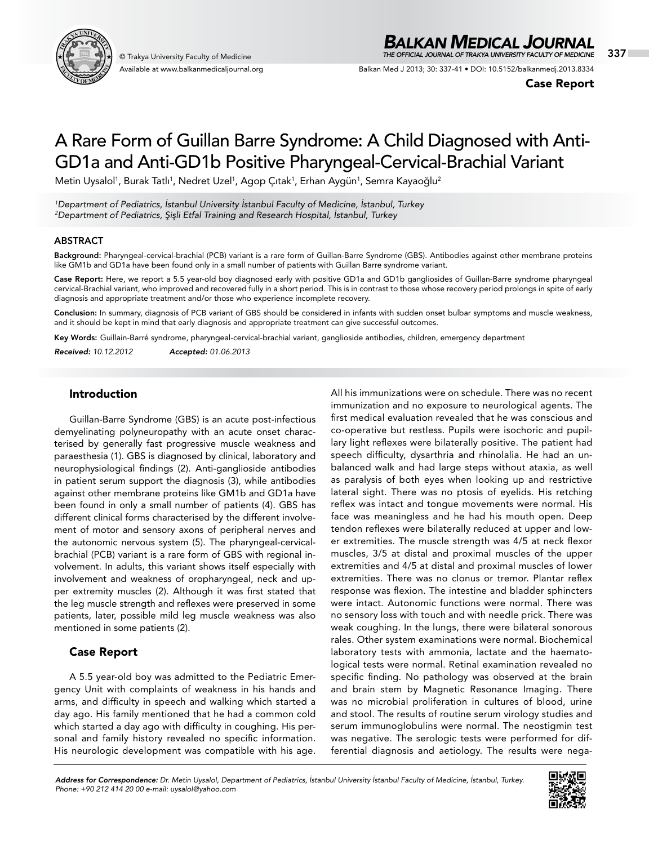

Available at www.balkanmedicaljournal.org

# *BALKAN MEDICAL JOURNAL*

© Trakya University Faculty of Medicine 337 *THE OFFICIAL JOURNAL OF TRAKYA UNIVERSITY FACULTY OF MEDICINE*

Balkan Med J 2013; 30: 337-41 • DOI: 10.5152/balkanmedj.2013.8334

Case Report

# A Rare Form of Guillan Barre Syndrome: A Child Diagnosed with Anti-GD1a and Anti-GD1b Positive Pharyngeal-Cervical-Brachial Variant

Metin Uysalol<sup>1</sup>, Burak Tatlı<sup>1</sup>, Nedret Uzel<sup>1</sup>, Agop Çıtak<sup>1</sup>, Erhan Aygün<sup>1</sup>, Semra Kayaoğlu<sup>2</sup>

*1 Department of Pediatrics, İstanbul University İstanbul Faculty of Medicine, İstanbul, Turkey 2 Department of Pediatrics, Şişli Etfal Training and Research Hospital, İstanbul, Turkey*

#### **ABSTRACT**

Background: Pharyngeal-cervical-brachial (PCB) variant is a rare form of Guillan-Barre Syndrome (GBS). Antibodies against other membrane proteins like GM1b and GD1a have been found only in a small number of patients with Guillan Barre syndrome variant.

Case Report: Here, we report a 5.5 year-old boy diagnosed early with positive GD1a and GD1b gangliosides of Guillan-Barre syndrome pharyngeal cervical-Brachial variant, who improved and recovered fully in a short period. This is in contrast to those whose recovery period prolongs in spite of early diagnosis and appropriate treatment and/or those who experience incomplete recovery.

Conclusion: In summary, diagnosis of PCB variant of GBS should be considered in infants with sudden onset bulbar symptoms and muscle weakness, and it should be kept in mind that early diagnosis and appropriate treatment can give successful outcomes.

Key Words: Guillain-Barré syndrome, pharyngeal-cervical-brachial variant, ganglioside antibodies, children, emergency department

*Received: 10.12.2012 Accepted: 01.06.2013*

Introduction

Guillan-Barre Syndrome (GBS) is an acute post-infectious demyelinating polyneuropathy with an acute onset characterised by generally fast progressive muscle weakness and paraesthesia (1). GBS is diagnosed by clinical, laboratory and neurophysiological findings (2). Anti-ganglioside antibodies in patient serum support the diagnosis (3), while antibodies against other membrane proteins like GM1b and GD1a have been found in only a small number of patients (4). GBS has different clinical forms characterised by the different involvement of motor and sensory axons of peripheral nerves and the autonomic nervous system (5). The pharyngeal-cervicalbrachial (PCB) variant is a rare form of GBS with regional involvement. In adults, this variant shows itself especially with involvement and weakness of oropharyngeal, neck and upper extremity muscles (2). Although it was fırst stated that the leg muscle strength and reflexes were preserved in some patients, later, possible mild leg muscle weakness was also mentioned in some patients (2).

## Case Report

A 5.5 year-old boy was admitted to the Pediatric Emergency Unit with complaints of weakness in his hands and arms, and difficulty in speech and walking which started a day ago. His family mentioned that he had a common cold which started a day ago with difficulty in coughing. His personal and family history revealed no specific information. His neurologic development was compatible with his age.

All his immunizations were on schedule. There was no recent immunization and no exposure to neurological agents. The first medical evaluation revealed that he was conscious and co-operative but restless. Pupils were isochoric and pupillary light reflexes were bilaterally positive. The patient had speech difficulty, dysarthria and rhinolalia. He had an unbalanced walk and had large steps without ataxia, as well as paralysis of both eyes when looking up and restrictive lateral sight. There was no ptosis of eyelids. His retching reflex was intact and tongue movements were normal. His face was meaningless and he had his mouth open. Deep tendon reflexes were bilaterally reduced at upper and lower extremities. The muscle strength was 4/5 at neck flexor muscles, 3/5 at distal and proximal muscles of the upper extremities and 4/5 at distal and proximal muscles of lower extremities. There was no clonus or tremor. Plantar reflex response was flexion. The intestine and bladder sphincters were intact. Autonomic functions were normal. There was no sensory loss with touch and with needle prick. There was weak coughing. In the lungs, there were bilateral sonorous rales. Other system examinations were normal. Biochemical laboratory tests with ammonia, lactate and the haematological tests were normal. Retinal examination revealed no specific finding. No pathology was observed at the brain and brain stem by Magnetic Resonance Imaging. There was no microbial proliferation in cultures of blood, urine and stool. The results of routine serum virology studies and serum immunoglobulins were normal. The neostigmin test was negative. The serologic tests were performed for differential diagnosis and aetiology. The results were nega-

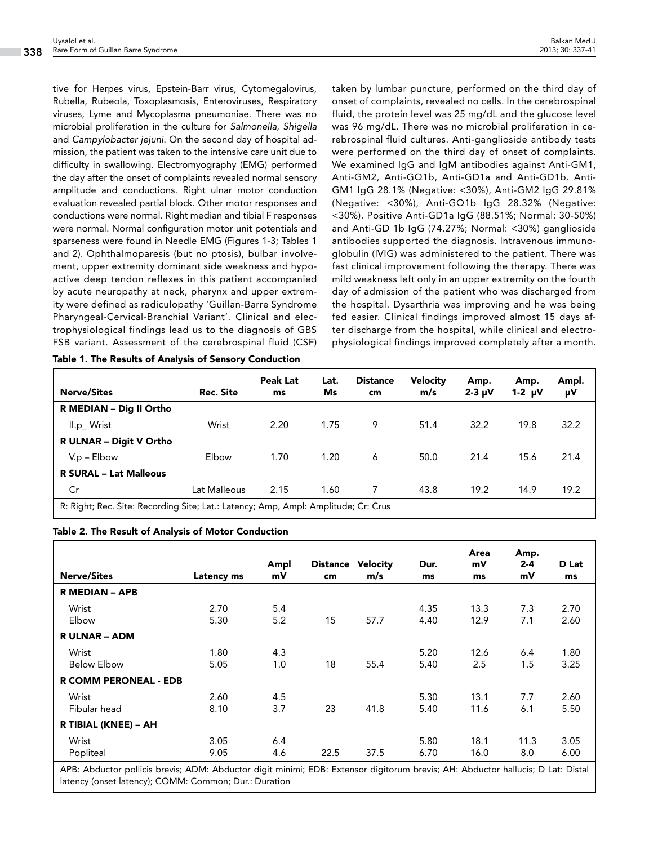tive for Herpes virus, Epstein-Barr virus, Cytomegalovirus, Rubella, Rubeola, Toxoplasmosis, Enteroviruses, Respiratory viruses, Lyme and Mycoplasma pneumoniae. There was no microbial proliferation in the culture for *Salmonella*, *Shigella* and *Campylobacter jejuni*. On the second day of hospital admission, the patient was taken to the intensive care unit due to difficulty in swallowing. Electromyography (EMG) performed the day after the onset of complaints revealed normal sensory amplitude and conductions. Right ulnar motor conduction evaluation revealed partial block. Other motor responses and conductions were normal. Right median and tibial F responses were normal. Normal configuration motor unit potentials and sparseness were found in Needle EMG (Figures 1-3; Tables 1 and 2). Ophthalmoparesis (but no ptosis), bulbar involvement, upper extremity dominant side weakness and hypoactive deep tendon reflexes in this patient accompanied by acute neuropathy at neck, pharynx and upper extremity were defined as radiculopathy 'Guillan-Barre Syndrome Pharyngeal-Cervical-Branchial Variant'. Clinical and electrophysiological findings lead us to the diagnosis of GBS FSB variant. Assessment of the cerebrospinal fluid (CSF)

Table 1. The Results of Analysis of Sensory Conduction

taken by lumbar puncture, performed on the third day of onset of complaints, revealed no cells. In the cerebrospinal fluid, the protein level was 25 mg/dL and the glucose level was 96 mg/dL. There was no microbial proliferation in cerebrospinal fluid cultures. Anti-ganglioside antibody tests were performed on the third day of onset of complaints. We examined IgG and IgM antibodies against Anti-GM1, Anti-GM2, Anti-GQ1b, Anti-GD1a and Anti-GD1b. Anti-GM1 IgG 28.1% (Negative: <30%), Anti-GM2 IgG 29.81% (Negative: <30%), Anti-GQ1b IgG 28.32% (Negative: <30%). Positive Anti-GD1a IgG (88.51%; Normal: 30-50%) and Anti-GD 1b IgG (74.27%; Normal: <30%) ganglioside antibodies supported the diagnosis. Intravenous immunoglobulin (IVIG) was administered to the patient. There was fast clinical improvement following the therapy. There was mild weakness left only in an upper extremity on the fourth day of admission of the patient who was discharged from the hospital. Dysarthria was improving and he was being fed easier. Clinical findings improved almost 15 days after discharge from the hospital, while clinical and electrophysiological findings improved completely after a month.

| <b>Nerve/Sites</b>                                                                 | Rec. Site    | <b>Peak Lat</b><br>ms | Lat.<br>Ms | <b>Distance</b><br>cm | <b>Velocity</b><br>m/s | Amp.<br>$2-3 \mu V$ | Amp.<br>$1-2 \mu V$ | Ampl.<br>μV |
|------------------------------------------------------------------------------------|--------------|-----------------------|------------|-----------------------|------------------------|---------------------|---------------------|-------------|
| R MEDIAN - Dig II Ortho                                                            |              |                       |            |                       |                        |                     |                     |             |
| II.p_Wrist                                                                         | Wrist        | 2.20                  | 1.75       | 9                     | 51.4                   | 32.2                | 19.8                | 32.2        |
| R ULNAR - Digit V Ortho                                                            |              |                       |            |                       |                        |                     |                     |             |
| $V.p - Elbow$                                                                      | Elbow        | 1.70                  | 1.20       | 6                     | 50.0                   | 21.4                | 15.6                | 21.4        |
| <b>R SURAL - Lat Malleous</b>                                                      |              |                       |            |                       |                        |                     |                     |             |
| Cr                                                                                 | Lat Malleous | 2.15                  | 1.60       | 7                     | 43.8                   | 19.2                | 14.9                | 19.2        |
| R: Right; Rec. Site: Recording Site; Lat.: Latency; Amp, Ampl: Amplitude; Cr: Crus |              |                       |            |                       |                        |                     |                     |             |

#### Table 2. The Result of Analysis of Motor Conduction

| <b>Nerve/Sites</b>           | Latency ms   | Ampl<br>mV | <b>Distance</b><br>cm | <b>Velocity</b><br>m/s | Dur.<br>ms   | Area<br>mV<br>ms | Amp.<br>$2 - 4$<br>mV | D Lat<br>ms  |
|------------------------------|--------------|------------|-----------------------|------------------------|--------------|------------------|-----------------------|--------------|
| <b>R MEDIAN - APB</b>        |              |            |                       |                        |              |                  |                       |              |
| Wrist<br>Elbow               | 2.70<br>5.30 | 5.4<br>5.2 | 15                    | 57.7                   | 4.35<br>4.40 | 13.3<br>12.9     | 7.3<br>7.1            | 2.70<br>2.60 |
| <b>RULNAR - ADM</b>          |              |            |                       |                        |              |                  |                       |              |
| Wrist<br><b>Below Elbow</b>  | 1.80<br>5.05 | 4.3<br>1.0 | 18                    | 55.4                   | 5.20<br>5.40 | 12.6<br>2.5      | 6.4<br>1.5            | 1.80<br>3.25 |
| <b>R COMM PERONEAL - EDB</b> |              |            |                       |                        |              |                  |                       |              |
| Wrist<br>Fibular head        | 2.60<br>8.10 | 4.5<br>3.7 | 23                    | 41.8                   | 5.30<br>5.40 | 13.1<br>11.6     | 7.7<br>6.1            | 2.60<br>5.50 |
| R TIBIAL (KNEE) - AH         |              |            |                       |                        |              |                  |                       |              |
| Wrist<br>Popliteal           | 3.05<br>9.05 | 6.4<br>4.6 | 22.5                  | 37.5                   | 5.80<br>6.70 | 18.1<br>16.0     | 11.3<br>8.0           | 3.05<br>6.00 |

APB: Abductor pollicis brevis; ADM: Abductor digit minimi; EDB: Extensor digitorum brevis; AH: Abductor hallucis; D Lat: Distal latency (onset latency); COMM: Common; Dur.: Duration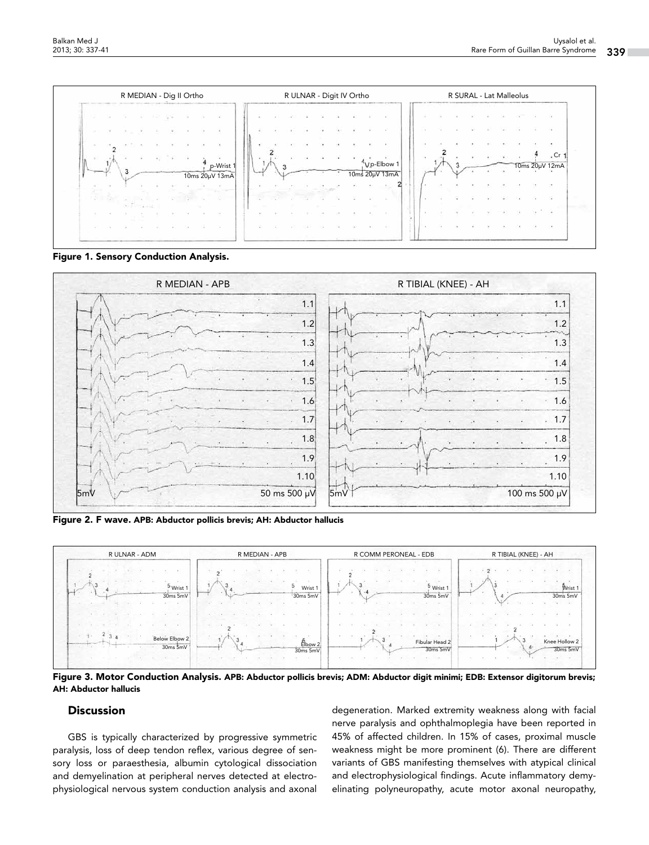

Figure 1. Sensory Conduction Analysis.



Figure 2. F wave. APB: Abductor pollicis brevis; AH: Abductor hallucis



Figure 3. Motor Conduction Analysis. APB: Abductor pollicis brevis; ADM: Abductor digit minimi; EDB: Extensor digitorum brevis; AH: Abductor hallucis

#### **Discussion**

GBS is typically characterized by progressive symmetric paralysis, loss of deep tendon reflex, various degree of sensory loss or paraesthesia, albumin cytological dissociation and demyelination at peripheral nerves detected at electrophysiological nervous system conduction analysis and axonal

degeneration. Marked extremity weakness along with facial nerve paralysis and ophthalmoplegia have been reported in 45% of affected children. In 15% of cases, proximal muscle weakness might be more prominent (6). There are different variants of GBS manifesting themselves with atypical clinical and electrophysiological findings. Acute inflammatory demyelinating polyneuropathy, acute motor axonal neuropathy,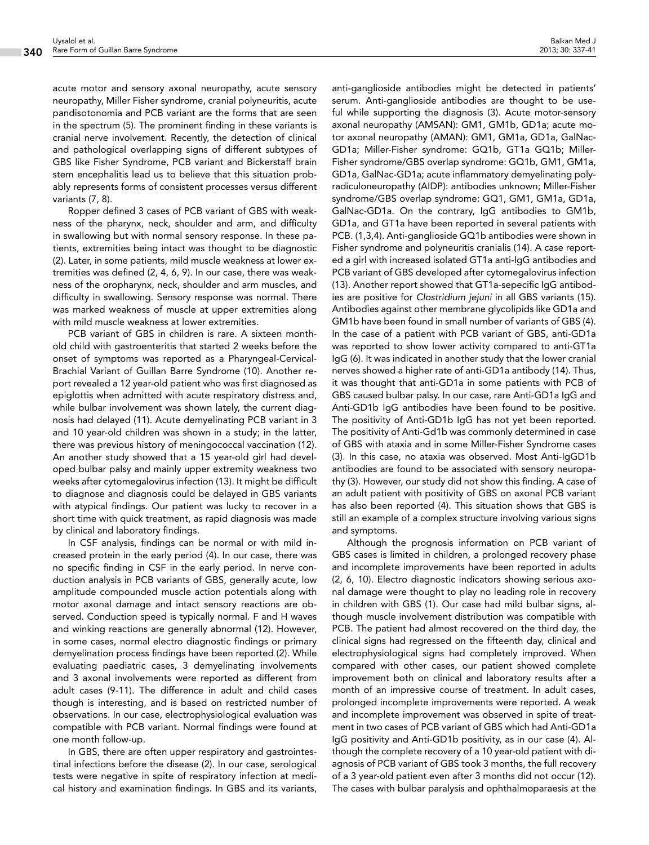acute motor and sensory axonal neuropathy, acute sensory neuropathy, Miller Fisher syndrome, cranial polyneuritis, acute pandisotonomia and PCB variant are the forms that are seen in the spectrum (5). The prominent finding in these variants is cranial nerve involvement. Recently, the detection of clinical and pathological overlapping signs of different subtypes of GBS like Fisher Syndrome, PCB variant and Bickerstaff brain stem encephalitis lead us to believe that this situation probably represents forms of consistent processes versus different variants (7, 8).

Ropper defined 3 cases of PCB variant of GBS with weakness of the pharynx, neck, shoulder and arm, and difficulty in swallowing but with normal sensory response. In these patients, extremities being intact was thought to be diagnostic (2). Later, in some patients, mild muscle weakness at lower extremities was defined (2, 4, 6, 9). In our case, there was weakness of the oropharynx, neck, shoulder and arm muscles, and difficulty in swallowing. Sensory response was normal. There was marked weakness of muscle at upper extremities along with mild muscle weakness at lower extremities.

PCB variant of GBS in children is rare. A sixteen monthold child with gastroenteritis that started 2 weeks before the onset of symptoms was reported as a Pharyngeal-Cervical-Brachial Variant of Guillan Barre Syndrome (10). Another report revealed a 12 year-old patient who was first diagnosed as epiglottis when admitted with acute respiratory distress and, while bulbar involvement was shown lately, the current diagnosis had delayed (11). Acute demyelinating PCB variant in 3 and 10 year-old children was shown in a study; in the latter, there was previous history of meningococcal vaccination (12). An another study showed that a 15 year-old girl had developed bulbar palsy and mainly upper extremity weakness two weeks after cytomegalovirus infection (13). It might be difficult to diagnose and diagnosis could be delayed in GBS variants with atypical findings. Our patient was lucky to recover in a short time with quick treatment, as rapid diagnosis was made by clinical and laboratory findings.

In CSF analysis, findings can be normal or with mild increased protein in the early period (4). In our case, there was no specific finding in CSF in the early period. In nerve conduction analysis in PCB variants of GBS, generally acute, low amplitude compounded muscle action potentials along with motor axonal damage and intact sensory reactions are observed. Conduction speed is typically normal. F and H waves and winking reactions are generally abnormal (12). However, in some cases, normal electro diagnostic findings or primary demyelination process findings have been reported (2). While evaluating paediatric cases, 3 demyelinating involvements and 3 axonal involvements were reported as different from adult cases (9-11). The difference in adult and child cases though is interesting, and is based on restricted number of observations. In our case, electrophysiological evaluation was compatible with PCB variant. Normal findings were found at one month follow-up.

In GBS, there are often upper respiratory and gastrointestinal infections before the disease (2). In our case, serological tests were negative in spite of respiratory infection at medical history and examination findings. In GBS and its variants,

anti-ganglioside antibodies might be detected in patients' serum. Anti-ganglioside antibodies are thought to be useful while supporting the diagnosis (3). Acute motor-sensory axonal neuropathy (AMSAN): GM1, GM1b, GD1a; acute motor axonal neuropathy (AMAN): GM1, GM1a, GD1a, GalNac-GD1a; Miller-Fisher syndrome: GQ1b, GT1a GQ1b; Miller-Fisher syndrome/GBS overlap syndrome: GQ1b, GM1, GM1a, GD1a, GalNac-GD1a; acute inflammatory demyelinating polyradiculoneuropathy (AIDP): antibodies unknown; Miller-Fisher syndrome/GBS overlap syndrome: GQ1, GM1, GM1a, GD1a, GalNac-GD1a. On the contrary, IgG antibodies to GM1b, GD1a, and GT1a have been reported in several patients with PCB. (1,3,4). Anti-ganglioside GQ1b antibodies were shown in Fisher syndrome and polyneuritis cranialis (14). A case reported a girl with increased isolated GT1a anti-IgG antibodies and PCB variant of GBS developed after cytomegalovirus infection (13). Another report showed that GT1a-sepecific IgG antibodies are positive for *Clostridium jejuni* in all GBS variants (15). Antibodies against other membrane glycolipids like GD1a and GM1b have been found in small number of variants of GBS (4). In the case of a patient with PCB variant of GBS, anti-GD1a was reported to show lower activity compared to anti-GT1a IgG (6). It was indicated in another study that the lower cranial nerves showed a higher rate of anti-GD1a antibody (14). Thus, it was thought that anti-GD1a in some patients with PCB of GBS caused bulbar palsy. In our case, rare Anti-GD1a IgG and Anti-GD1b IgG antibodies have been found to be positive. The positivity of Anti-GD1b IgG has not yet been reported. The positivity of Anti-Gd1b was commonly determined in case of GBS with ataxia and in some Miller-Fisher Syndrome cases (3). In this case, no ataxia was observed. Most Anti-IgGD1b antibodies are found to be associated with sensory neuropathy (3). However, our study did not show this finding. A case of an adult patient with positivity of GBS on axonal PCB variant has also been reported (4). This situation shows that GBS is still an example of a complex structure involving various signs and symptoms.

Although the prognosis information on PCB variant of GBS cases is limited in children, a prolonged recovery phase and incomplete improvements have been reported in adults (2, 6, 10). Electro diagnostic indicators showing serious axonal damage were thought to play no leading role in recovery in children with GBS (1). Our case had mild bulbar signs, although muscle involvement distribution was compatible with PCB. The patient had almost recovered on the third day, the clinical signs had regressed on the fifteenth day, clinical and electrophysiological signs had completely improved. When compared with other cases, our patient showed complete improvement both on clinical and laboratory results after a month of an impressive course of treatment. In adult cases, prolonged incomplete improvements were reported. A weak and incomplete improvement was observed in spite of treatment in two cases of PCB variant of GBS which had Anti-GD1a IgG positivity and Anti-GD1b positivity, as in our case (4). Although the complete recovery of a 10 year-old patient with diagnosis of PCB variant of GBS took 3 months, the full recovery of a 3 year-old patient even after 3 months did not occur (12). The cases with bulbar paralysis and ophthalmoparaesis at the